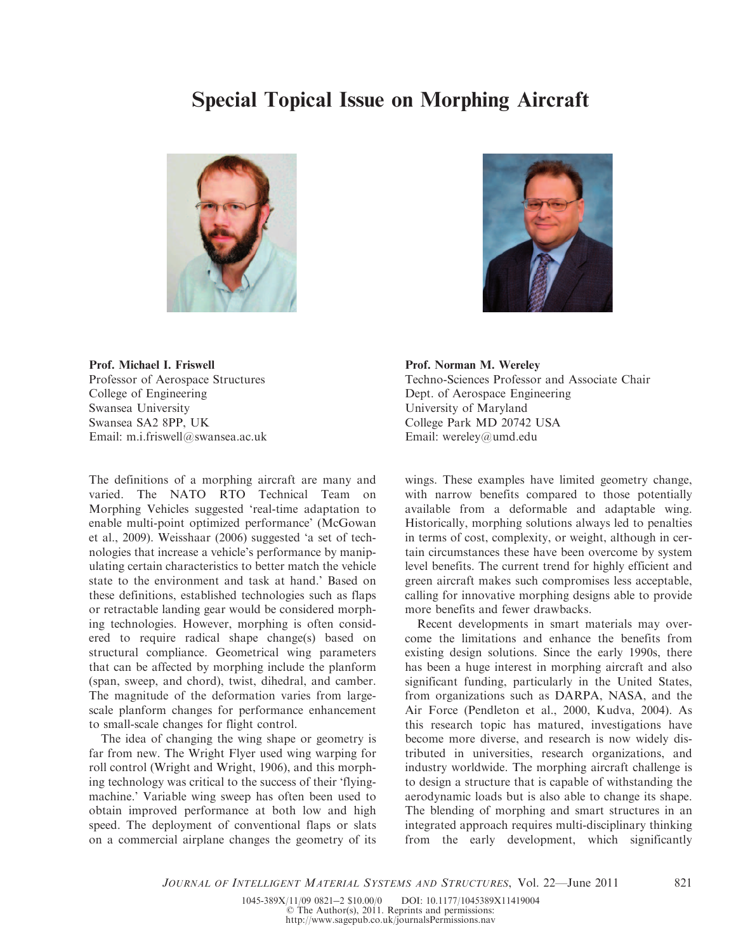## Special Topical Issue on Morphing Aircraft





Prof. Michael I. Friswell Professor of Aerospace Structures College of Engineering Swansea University Swansea SA2 8PP, UK Email: m.i.friswell@swansea.ac.uk

The definitions of a morphing aircraft are many and varied. The NATO RTO Technical Team on Morphing Vehicles suggested 'real-time adaptation to enable multi-point optimized performance' (McGowan et al., 2009). Weisshaar (2006) suggested 'a set of technologies that increase a vehicle's performance by manipulating certain characteristics to better match the vehicle state to the environment and task at hand.' Based on these definitions, established technologies such as flaps or retractable landing gear would be considered morphing technologies. However, morphing is often considered to require radical shape change(s) based on structural compliance. Geometrical wing parameters that can be affected by morphing include the planform (span, sweep, and chord), twist, dihedral, and camber. The magnitude of the deformation varies from largescale planform changes for performance enhancement to small-scale changes for flight control.

The idea of changing the wing shape or geometry is far from new. The Wright Flyer used wing warping for roll control (Wright and Wright, 1906), and this morphing technology was critical to the success of their 'flyingmachine.' Variable wing sweep has often been used to obtain improved performance at both low and high speed. The deployment of conventional flaps or slats on a commercial airplane changes the geometry of its Prof. Norman M. Wereley Techno-Sciences Professor and Associate Chair Dept. of Aerospace Engineering University of Maryland College Park MD 20742 USA Email: wereley@umd.edu

wings. These examples have limited geometry change, with narrow benefits compared to those potentially available from a deformable and adaptable wing. Historically, morphing solutions always led to penalties in terms of cost, complexity, or weight, although in certain circumstances these have been overcome by system level benefits. The current trend for highly efficient and green aircraft makes such compromises less acceptable, calling for innovative morphing designs able to provide more benefits and fewer drawbacks.

Recent developments in smart materials may overcome the limitations and enhance the benefits from existing design solutions. Since the early 1990s, there has been a huge interest in morphing aircraft and also significant funding, particularly in the United States, from organizations such as DARPA, NASA, and the Air Force (Pendleton et al., 2000, Kudva, 2004). As this research topic has matured, investigations have become more diverse, and research is now widely distributed in universities, research organizations, and industry worldwide. The morphing aircraft challenge is to design a structure that is capable of withstanding the aerodynamic loads but is also able to change its shape. The blending of morphing and smart structures in an integrated approach requires multi-disciplinary thinking from the early development, which significantly

JOURNAL OF INTELLIGENT MATERIAL SYSTEMS AND STRUCTURES, Vol. 22—June 2011 821